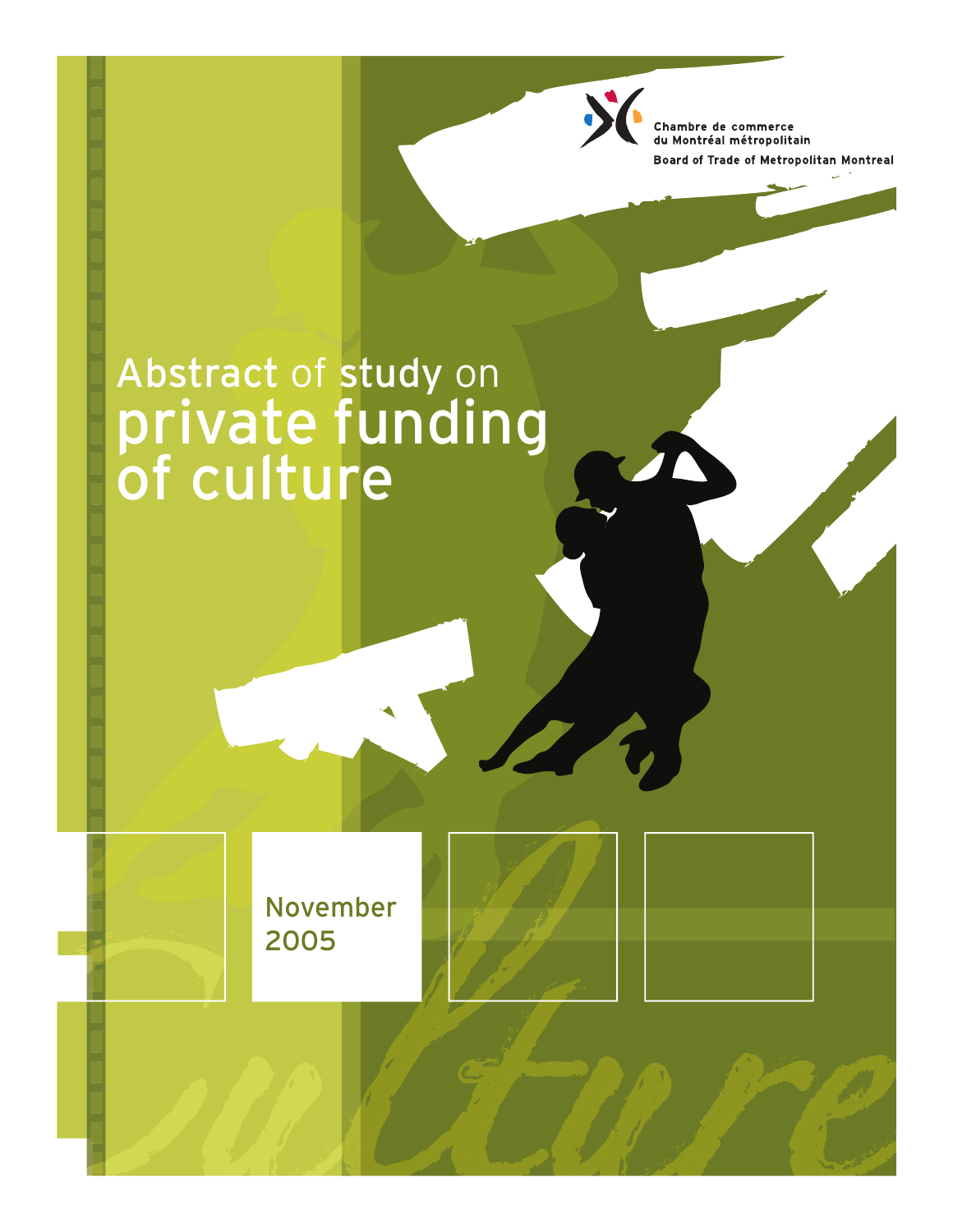Chambre de commerce<br>du Montréal métropolitain Board of Trade of Metropolitan Montreal

Abstract of study on<br>private funding<br>of culture

**November** 2005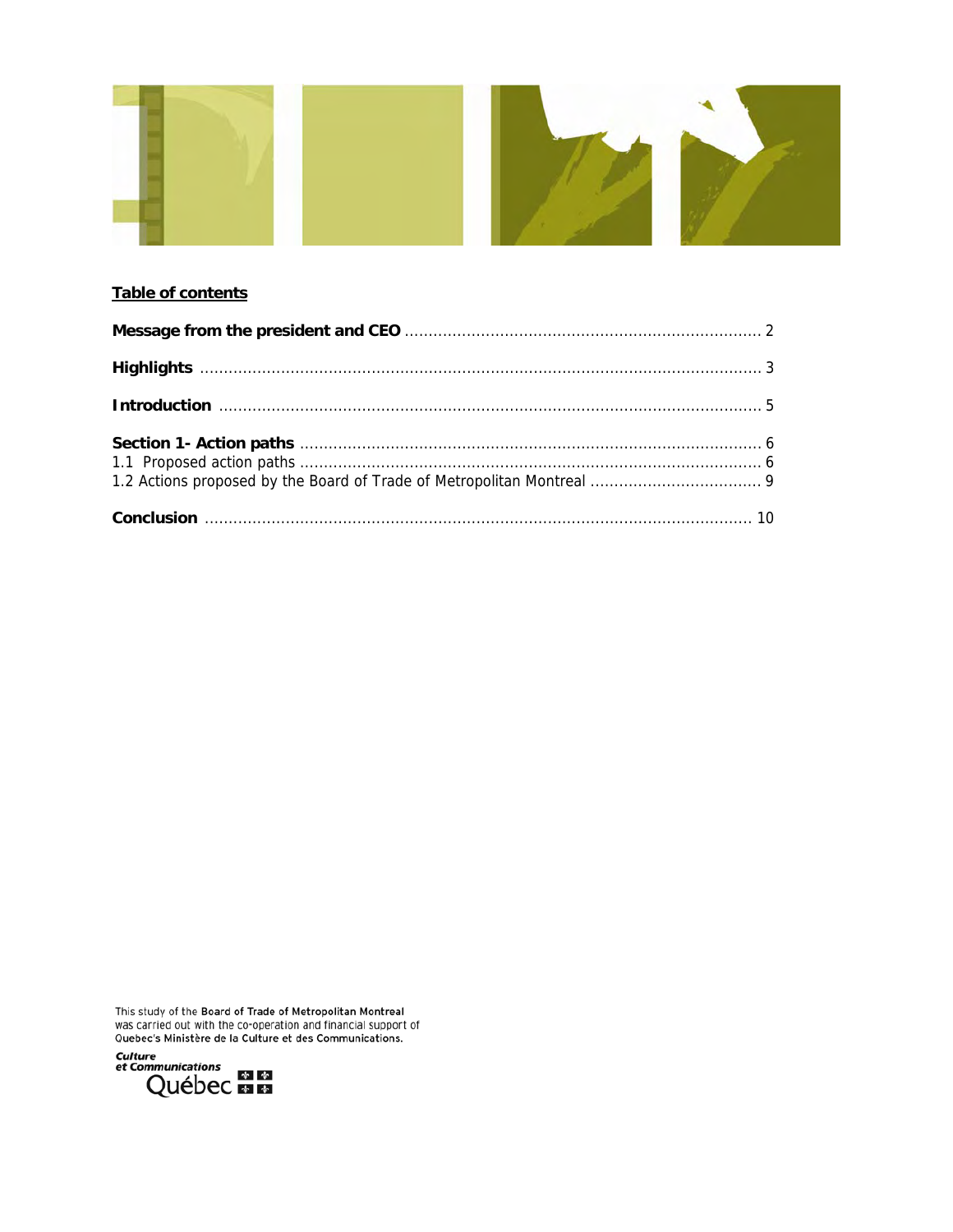

## Table of contents

This study of the Board of Trade of Metropolitan Montreal<br>was carried out with the co-operation and financial support of<br>Quebec's Ministère de la Culture et des Communications.

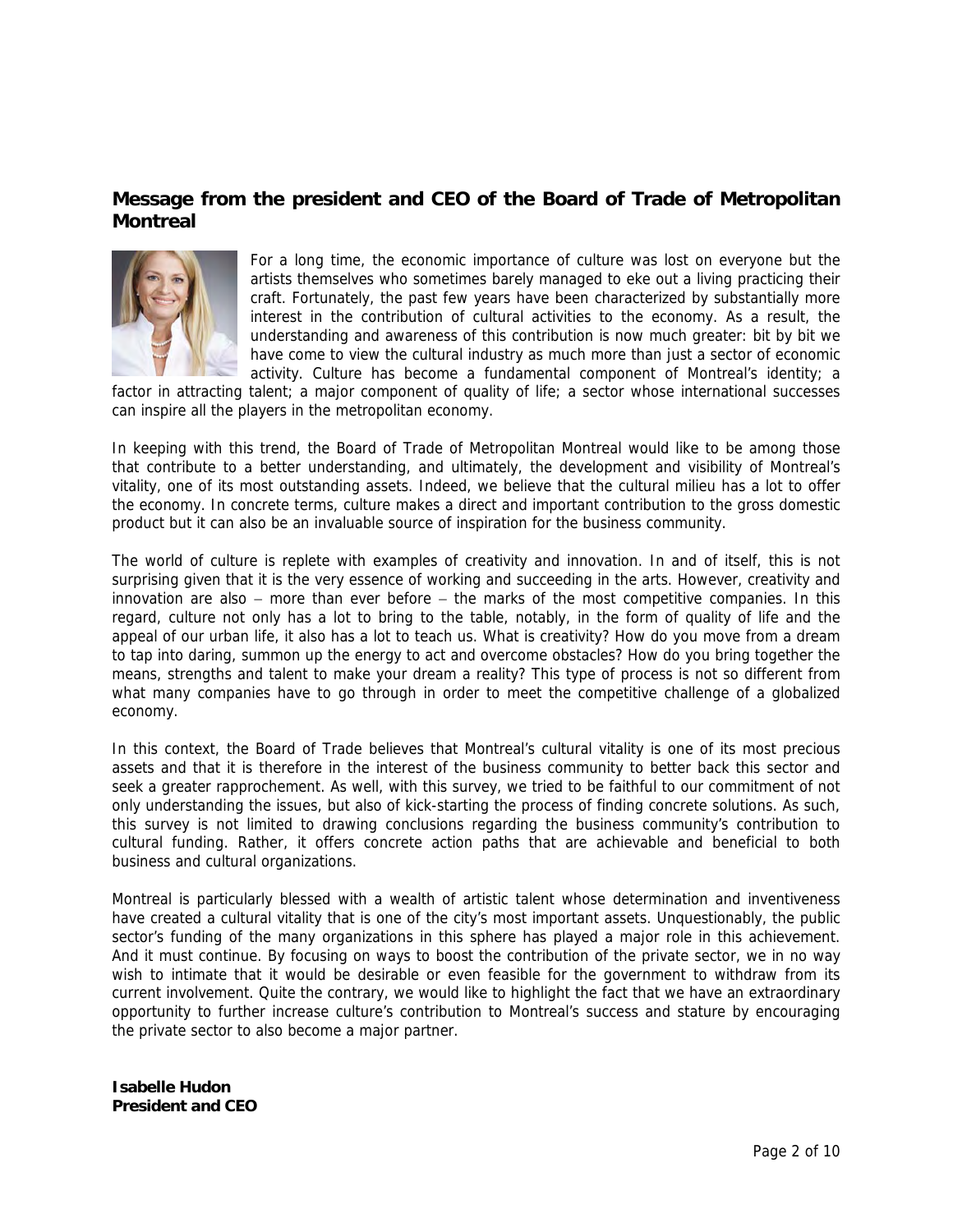## **Message from the president and CEO of the Board of Trade of Metropolitan Montreal**



For a long time, the economic importance of culture was lost on everyone but the artists themselves who sometimes barely managed to eke out a living practicing their craft. Fortunately, the past few years have been characterized by substantially more interest in the contribution of cultural activities to the economy. As a result, the understanding and awareness of this contribution is now much greater: bit by bit we have come to view the cultural industry as much more than just a sector of economic activity. Culture has become a fundamental component of Montreal's identity; a

factor in attracting talent; a major component of quality of life; a sector whose international successes can inspire all the players in the metropolitan economy.

In keeping with this trend, the Board of Trade of Metropolitan Montreal would like to be among those that contribute to a better understanding, and ultimately, the development and visibility of Montreal's vitality, one of its most outstanding assets. Indeed, we believe that the cultural milieu has a lot to offer the economy. In concrete terms, culture makes a direct and important contribution to the gross domestic product but it can also be an invaluable source of inspiration for the business community.

The world of culture is replete with examples of creativity and innovation. In and of itself, this is not surprising given that it is the very essence of working and succeeding in the arts. However, creativity and innovation are also − more than ever before − the marks of the most competitive companies. In this regard, culture not only has a lot to bring to the table, notably, in the form of quality of life and the appeal of our urban life, it also has a lot to teach us. What is creativity? How do you move from a dream to tap into daring, summon up the energy to act and overcome obstacles? How do you bring together the means, strengths and talent to make your dream a reality? This type of process is not so different from what many companies have to go through in order to meet the competitive challenge of a globalized economy.

In this context, the Board of Trade believes that Montreal's cultural vitality is one of its most precious assets and that it is therefore in the interest of the business community to better back this sector and seek a greater rapprochement. As well, with this survey, we tried to be faithful to our commitment of not only understanding the issues, but also of kick-starting the process of finding concrete solutions. As such, this survey is not limited to drawing conclusions regarding the business community's contribution to cultural funding. Rather, it offers concrete action paths that are achievable and beneficial to both business and cultural organizations.

Montreal is particularly blessed with a wealth of artistic talent whose determination and inventiveness have created a cultural vitality that is one of the city's most important assets. Unquestionably, the public sector's funding of the many organizations in this sphere has played a major role in this achievement. And it must continue. By focusing on ways to boost the contribution of the private sector, we in no way wish to intimate that it would be desirable or even feasible for the government to withdraw from its current involvement. Quite the contrary, we would like to highlight the fact that we have an extraordinary opportunity to further increase culture's contribution to Montreal's success and stature by encouraging the private sector to also become a major partner.

**Isabelle Hudon President and CEO**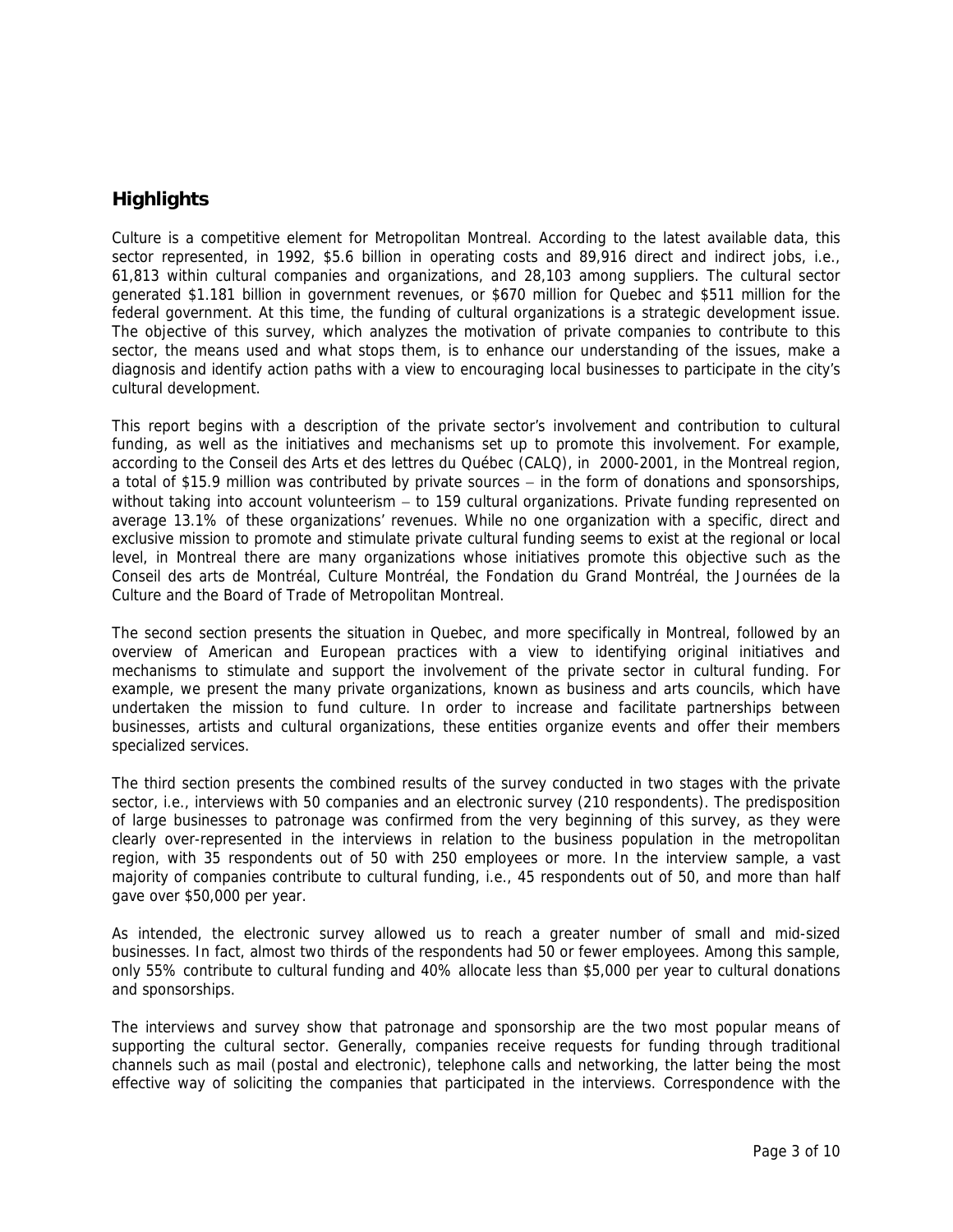# **Highlights**

Culture is a competitive element for Metropolitan Montreal. According to the latest available data, this sector represented, in 1992, \$5.6 billion in operating costs and 89,916 direct and indirect jobs, i.e., 61,813 within cultural companies and organizations, and 28,103 among suppliers. The cultural sector generated \$1.181 billion in government revenues, or \$670 million for Quebec and \$511 million for the federal government. At this time, the funding of cultural organizations is a strategic development issue. The objective of this survey, which analyzes the motivation of private companies to contribute to this sector, the means used and what stops them, is to enhance our understanding of the issues, make a diagnosis and identify action paths with a view to encouraging local businesses to participate in the city's cultural development.

This report begins with a description of the private sector's involvement and contribution to cultural funding, as well as the initiatives and mechanisms set up to promote this involvement. For example, according to the Conseil des Arts et des lettres du Québec (CALQ), in 2000-2001, in the Montreal region, a total of \$15.9 million was contributed by private sources – in the form of donations and sponsorships, without taking into account volunteerism – to 159 cultural organizations. Private funding represented on average 13.1% of these organizations' revenues. While no one organization with a specific, direct and exclusive mission to promote and stimulate private cultural funding seems to exist at the regional or local level, in Montreal there are many organizations whose initiatives promote this objective such as the Conseil des arts de Montréal, Culture Montréal, the Fondation du Grand Montréal, the Journées de la Culture and the Board of Trade of Metropolitan Montreal.

The second section presents the situation in Quebec, and more specifically in Montreal, followed by an overview of American and European practices with a view to identifying original initiatives and mechanisms to stimulate and support the involvement of the private sector in cultural funding. For example, we present the many private organizations, known as business and arts councils, which have undertaken the mission to fund culture. In order to increase and facilitate partnerships between businesses, artists and cultural organizations, these entities organize events and offer their members specialized services.

The third section presents the combined results of the survey conducted in two stages with the private sector, i.e., interviews with 50 companies and an electronic survey (210 respondents). The predisposition of large businesses to patronage was confirmed from the very beginning of this survey, as they were clearly over-represented in the interviews in relation to the business population in the metropolitan region, with 35 respondents out of 50 with 250 employees or more. In the interview sample, a vast majority of companies contribute to cultural funding, i.e., 45 respondents out of 50, and more than half gave over \$50,000 per year.

As intended, the electronic survey allowed us to reach a greater number of small and mid-sized businesses. In fact, almost two thirds of the respondents had 50 or fewer employees. Among this sample, only 55% contribute to cultural funding and 40% allocate less than \$5,000 per year to cultural donations and sponsorships.

The interviews and survey show that patronage and sponsorship are the two most popular means of supporting the cultural sector. Generally, companies receive requests for funding through traditional channels such as mail (postal and electronic), telephone calls and networking, the latter being the most effective way of soliciting the companies that participated in the interviews. Correspondence with the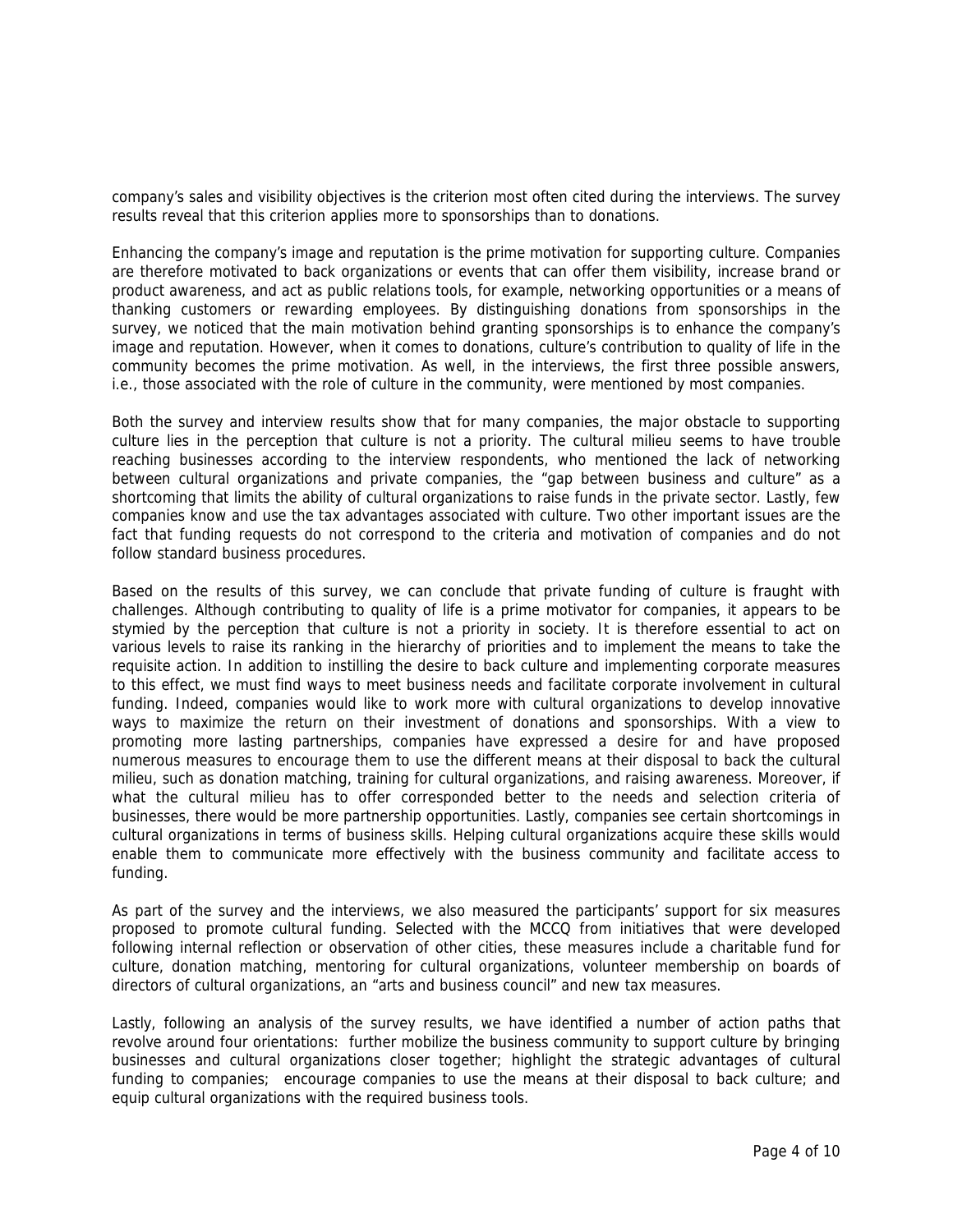company's sales and visibility objectives is the criterion most often cited during the interviews. The survey results reveal that this criterion applies more to sponsorships than to donations.

Enhancing the company's image and reputation is the prime motivation for supporting culture. Companies are therefore motivated to back organizations or events that can offer them visibility, increase brand or product awareness, and act as public relations tools, for example, networking opportunities or a means of thanking customers or rewarding employees. By distinguishing donations from sponsorships in the survey, we noticed that the main motivation behind granting sponsorships is to enhance the company's image and reputation. However, when it comes to donations, culture's contribution to quality of life in the community becomes the prime motivation. As well, in the interviews, the first three possible answers, i.e., those associated with the role of culture in the community, were mentioned by most companies.

Both the survey and interview results show that for many companies, the major obstacle to supporting culture lies in the perception that culture is not a priority. The cultural milieu seems to have trouble reaching businesses according to the interview respondents, who mentioned the lack of networking between cultural organizations and private companies, the "gap between business and culture" as a shortcoming that limits the ability of cultural organizations to raise funds in the private sector. Lastly, few companies know and use the tax advantages associated with culture. Two other important issues are the fact that funding requests do not correspond to the criteria and motivation of companies and do not follow standard business procedures.

Based on the results of this survey, we can conclude that private funding of culture is fraught with challenges. Although contributing to quality of life is a prime motivator for companies, it appears to be stymied by the perception that culture is not a priority in society. It is therefore essential to act on various levels to raise its ranking in the hierarchy of priorities and to implement the means to take the requisite action. In addition to instilling the desire to back culture and implementing corporate measures to this effect, we must find ways to meet business needs and facilitate corporate involvement in cultural funding. Indeed, companies would like to work more with cultural organizations to develop innovative ways to maximize the return on their investment of donations and sponsorships. With a view to promoting more lasting partnerships, companies have expressed a desire for and have proposed numerous measures to encourage them to use the different means at their disposal to back the cultural milieu, such as donation matching, training for cultural organizations, and raising awareness. Moreover, if what the cultural milieu has to offer corresponded better to the needs and selection criteria of businesses, there would be more partnership opportunities. Lastly, companies see certain shortcomings in cultural organizations in terms of business skills. Helping cultural organizations acquire these skills would enable them to communicate more effectively with the business community and facilitate access to funding.

As part of the survey and the interviews, we also measured the participants' support for six measures proposed to promote cultural funding. Selected with the MCCQ from initiatives that were developed following internal reflection or observation of other cities, these measures include a charitable fund for culture, donation matching, mentoring for cultural organizations, volunteer membership on boards of directors of cultural organizations, an "arts and business council" and new tax measures.

Lastly, following an analysis of the survey results, we have identified a number of action paths that revolve around four orientations: further mobilize the business community to support culture by bringing businesses and cultural organizations closer together; highlight the strategic advantages of cultural funding to companies; encourage companies to use the means at their disposal to back culture; and equip cultural organizations with the required business tools.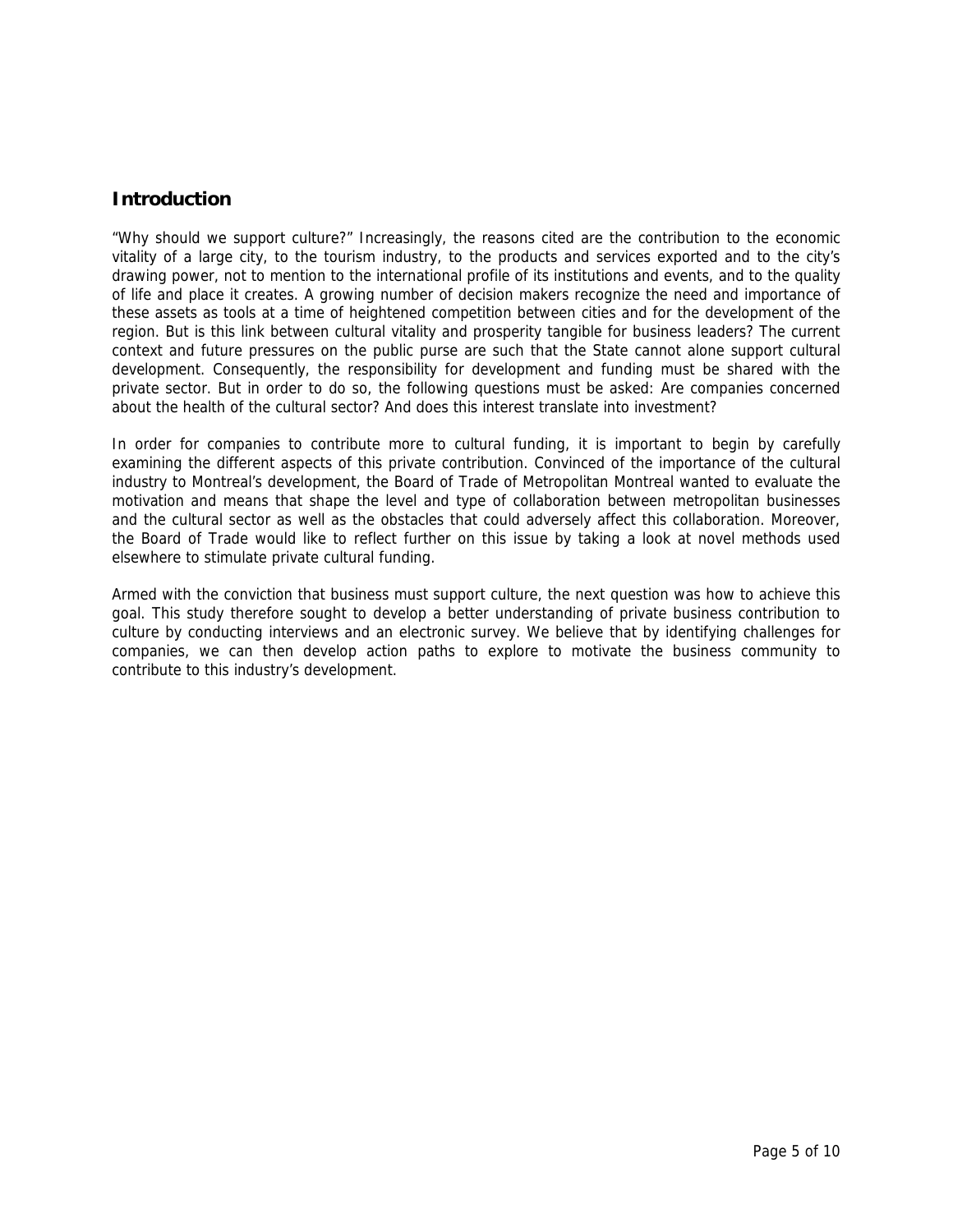## **Introduction**

"Why should we support culture?" Increasingly, the reasons cited are the contribution to the economic vitality of a large city, to the tourism industry, to the products and services exported and to the city's drawing power, not to mention to the international profile of its institutions and events, and to the quality of life and place it creates. A growing number of decision makers recognize the need and importance of these assets as tools at a time of heightened competition between cities and for the development of the region. But is this link between cultural vitality and prosperity tangible for business leaders? The current context and future pressures on the public purse are such that the State cannot alone support cultural development. Consequently, the responsibility for development and funding must be shared with the private sector. But in order to do so, the following questions must be asked: Are companies concerned about the health of the cultural sector? And does this interest translate into investment?

In order for companies to contribute more to cultural funding, it is important to begin by carefully examining the different aspects of this private contribution. Convinced of the importance of the cultural industry to Montreal's development, the Board of Trade of Metropolitan Montreal wanted to evaluate the motivation and means that shape the level and type of collaboration between metropolitan businesses and the cultural sector as well as the obstacles that could adversely affect this collaboration. Moreover, the Board of Trade would like to reflect further on this issue by taking a look at novel methods used elsewhere to stimulate private cultural funding.

Armed with the conviction that business must support culture, the next question was how to achieve this goal. This study therefore sought to develop a better understanding of private business contribution to culture by conducting interviews and an electronic survey. We believe that by identifying challenges for companies, we can then develop action paths to explore to motivate the business community to contribute to this industry's development.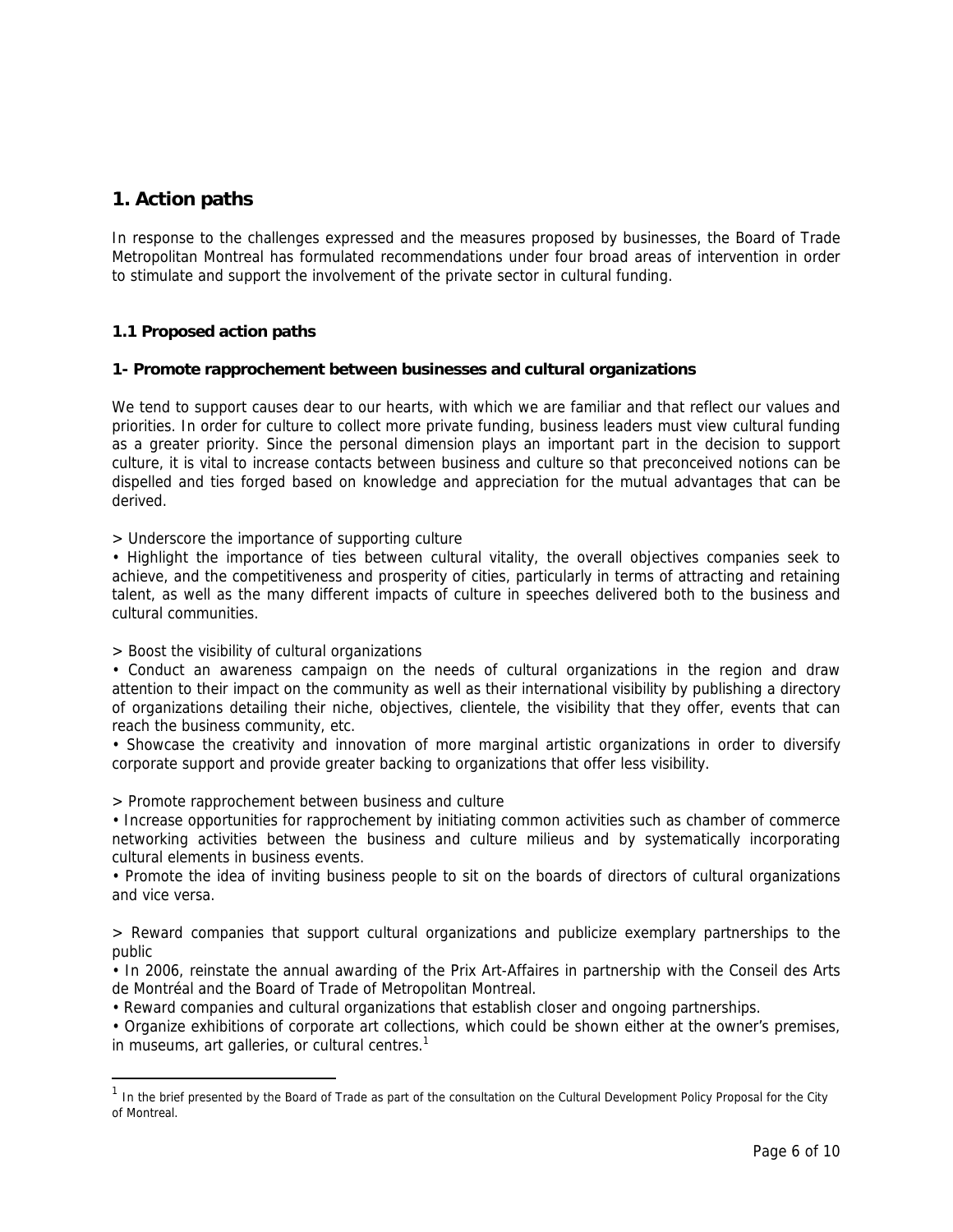## **1. Action paths**

In response to the challenges expressed and the measures proposed by businesses, the Board of Trade Metropolitan Montreal has formulated recommendations under four broad areas of intervention in order to stimulate and support the involvement of the private sector in cultural funding.

### **1.1 Proposed action paths**

#### **1- Promote rapprochement between businesses and cultural organizations**

We tend to support causes dear to our hearts, with which we are familiar and that reflect our values and priorities. In order for culture to collect more private funding, business leaders must view cultural funding as a greater priority. Since the personal dimension plays an important part in the decision to support culture, it is vital to increase contacts between business and culture so that preconceived notions can be dispelled and ties forged based on knowledge and appreciation for the mutual advantages that can be derived.

> Underscore the importance of supporting culture

• Highlight the importance of ties between cultural vitality, the overall objectives companies seek to achieve, and the competitiveness and prosperity of cities, particularly in terms of attracting and retaining talent, as well as the many different impacts of culture in speeches delivered both to the business and cultural communities.

> Boost the visibility of cultural organizations

• Conduct an awareness campaign on the needs of cultural organizations in the region and draw attention to their impact on the community as well as their international visibility by publishing a directory of organizations detailing their niche, objectives, clientele, the visibility that they offer, events that can reach the business community, etc.

• Showcase the creativity and innovation of more marginal artistic organizations in order to diversify corporate support and provide greater backing to organizations that offer less visibility.

> Promote rapprochement between business and culture

• Increase opportunities for rapprochement by initiating common activities such as chamber of commerce networking activities between the business and culture milieus and by systematically incorporating cultural elements in business events.

• Promote the idea of inviting business people to sit on the boards of directors of cultural organizations and vice versa.

> Reward companies that support cultural organizations and publicize exemplary partnerships to the public

• In 2006, reinstate the annual awarding of the Prix Art-Affaires in partnership with the Conseil des Arts de Montréal and the Board of Trade of Metropolitan Montreal.

• Reward companies and cultural organizations that establish closer and ongoing partnerships.

• Organize exhibitions of corporate art collections, which could be shown either at the owner's premises, in museums, art galleries, or cultural centres. $<sup>1</sup>$ </sup>

<span id="page-6-0"></span> $1$  In the brief presented by the Board of Trade as part of the consultation on the Cultural Development Policy Proposal for the City of Montreal.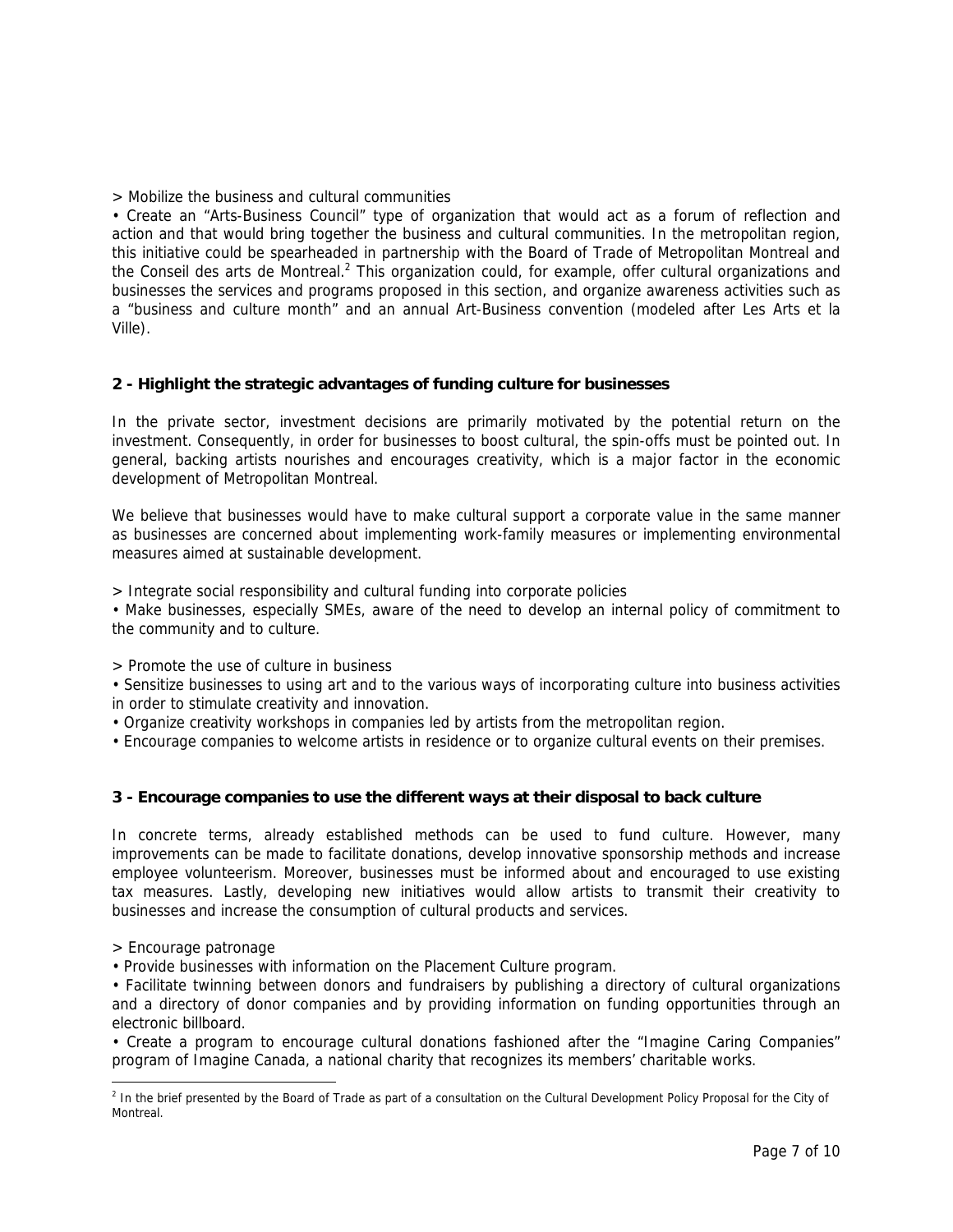> Mobilize the business and cultural communities

• Create an "Arts-Business Council" type of organization that would act as a forum of reflection and action and that would bring together the business and cultural communities. In the metropolitan region, this initiative could be spearheaded in partnership with the Board of Trade of Metropolitan Montreal and the Conseil des arts de Montreal.<sup>[2](#page-7-0)</sup> This organization could, for example, offer cultural organizations and businesses the services and programs proposed in this section, and organize awareness activities such as a "business and culture month" and an annual Art-Business convention (modeled after Les Arts et la Ville).

### **2 - Highlight the strategic advantages of funding culture for businesses**

In the private sector, investment decisions are primarily motivated by the potential return on the investment. Consequently, in order for businesses to boost cultural, the spin-offs must be pointed out. In general, backing artists nourishes and encourages creativity, which is a major factor in the economic development of Metropolitan Montreal.

We believe that businesses would have to make cultural support a corporate value in the same manner as businesses are concerned about implementing work-family measures or implementing environmental measures aimed at sustainable development.

> Integrate social responsibility and cultural funding into corporate policies

• Make businesses, especially SMEs, aware of the need to develop an internal policy of commitment to the community and to culture.

> Promote the use of culture in business

• Sensitize businesses to using art and to the various ways of incorporating culture into business activities in order to stimulate creativity and innovation.

• Organize creativity workshops in companies led by artists from the metropolitan region.

• Encourage companies to welcome artists in residence or to organize cultural events on their premises.

### **3 - Encourage companies to use the different ways at their disposal to back culture**

In concrete terms, already established methods can be used to fund culture. However, many improvements can be made to facilitate donations, develop innovative sponsorship methods and increase employee volunteerism. Moreover, businesses must be informed about and encouraged to use existing tax measures. Lastly, developing new initiatives would allow artists to transmit their creativity to businesses and increase the consumption of cultural products and services.

> Encourage patronage

• Provide businesses with information on the Placement Culture program.

• Facilitate twinning between donors and fundraisers by publishing a directory of cultural organizations and a directory of donor companies and by providing information on funding opportunities through an electronic billboard.

• Create a program to encourage cultural donations fashioned after the "Imagine Caring Companies" program of Imagine Canada, a national charity that recognizes its members' charitable works.

<span id="page-7-0"></span> $\frac{1}{2}$ <sup>2</sup> In the brief presented by the Board of Trade as part of a consultation on the Cultural Development Policy Proposal for the City of Montreal.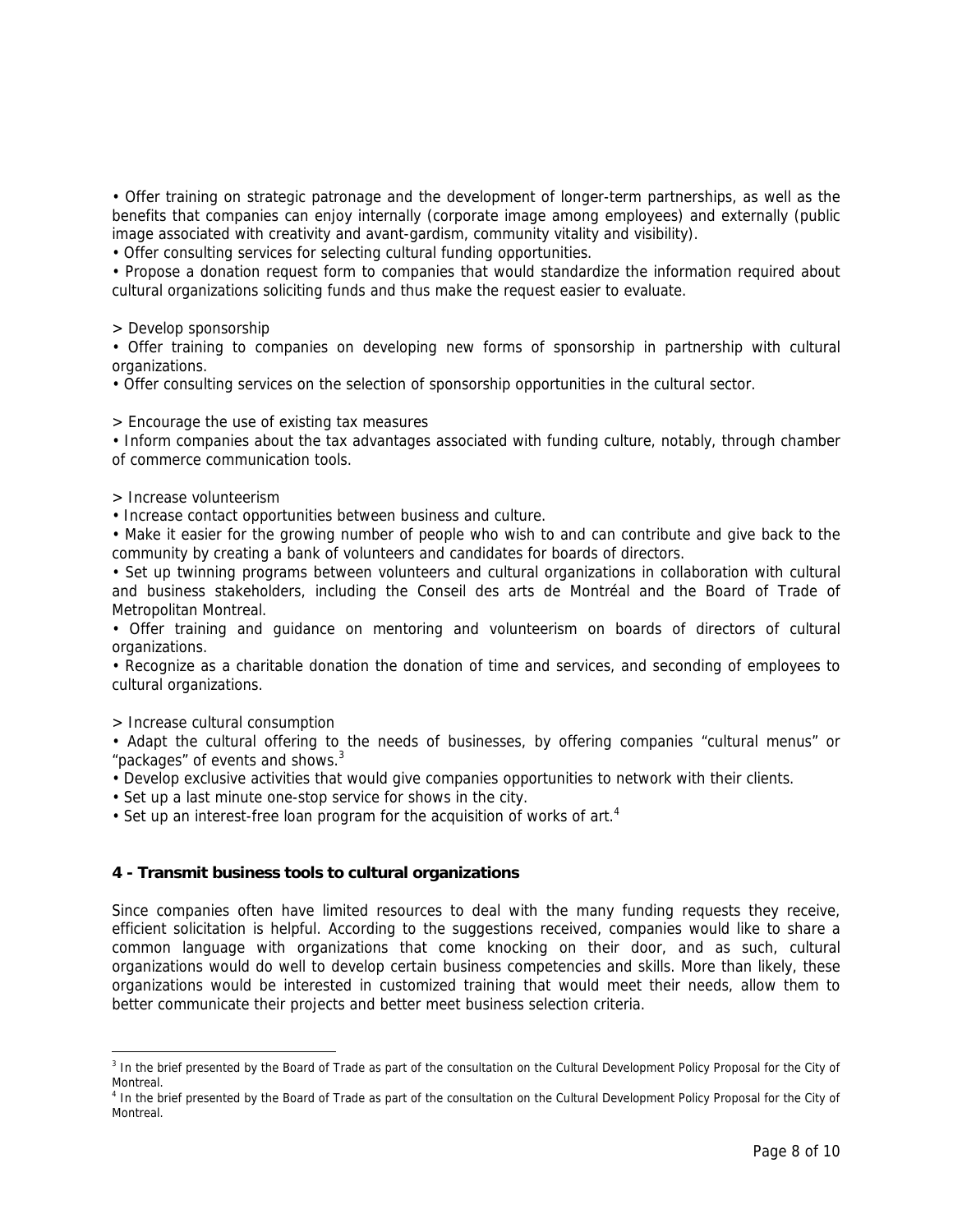• Offer training on strategic patronage and the development of longer-term partnerships, as well as the benefits that companies can enjoy internally (corporate image among employees) and externally (public image associated with creativity and avant-gardism, community vitality and visibility).

• Offer consulting services for selecting cultural funding opportunities.

• Propose a donation request form to companies that would standardize the information required about cultural organizations soliciting funds and thus make the request easier to evaluate.

> Develop sponsorship

• Offer training to companies on developing new forms of sponsorship in partnership with cultural organizations.

• Offer consulting services on the selection of sponsorship opportunities in the cultural sector.

> Encourage the use of existing tax measures

• Inform companies about the tax advantages associated with funding culture, notably, through chamber of commerce communication tools.

> Increase volunteerism

• Increase contact opportunities between business and culture.

• Make it easier for the growing number of people who wish to and can contribute and give back to the community by creating a bank of volunteers and candidates for boards of directors.

• Set up twinning programs between volunteers and cultural organizations in collaboration with cultural and business stakeholders, including the Conseil des arts de Montréal and the Board of Trade of Metropolitan Montreal.

• Offer training and guidance on mentoring and volunteerism on boards of directors of cultural organizations.

• Recognize as a charitable donation the donation of time and services, and seconding of employees to cultural organizations.

> Increase cultural consumption

• Adapt the cultural offering to the needs of businesses, by offering companies "cultural menus" or "packages" of events and shows. $3$ 

• Develop exclusive activities that would give companies opportunities to network with their clients.

• Set up a last minute one-stop service for shows in the city.

• Set up an interest-free loan program for the acquisition of works of art.<sup>[4](#page-8-1)</sup>

#### **4 - Transmit business tools to cultural organizations**

Since companies often have limited resources to deal with the many funding requests they receive, efficient solicitation is helpful. According to the suggestions received, companies would like to share a common language with organizations that come knocking on their door, and as such, cultural organizations would do well to develop certain business competencies and skills. More than likely, these organizations would be interested in customized training that would meet their needs, allow them to better communicate their projects and better meet business selection criteria.

<span id="page-8-0"></span><sup>-&</sup>lt;br>3 <sup>3</sup> In the brief presented by the Board of Trade as part of the consultation on the Cultural Development Policy Proposal for the City of Montreal.

<span id="page-8-1"></span><sup>&</sup>lt;sup>4</sup> In the brief presented by the Board of Trade as part of the consultation on the Cultural Development Policy Proposal for the City of Montreal.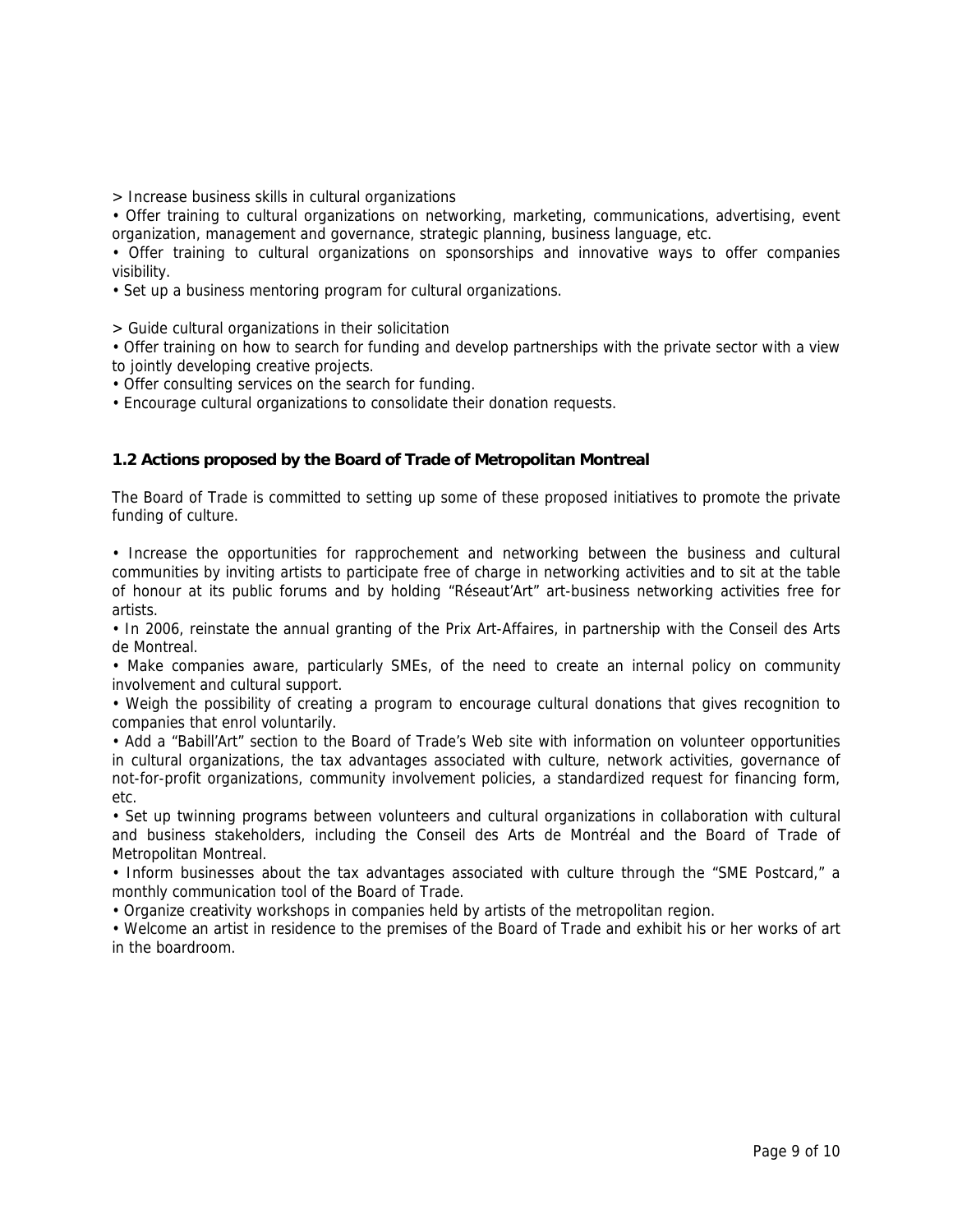> Increase business skills in cultural organizations

• Offer training to cultural organizations on networking, marketing, communications, advertising, event organization, management and governance, strategic planning, business language, etc.

• Offer training to cultural organizations on sponsorships and innovative ways to offer companies visibility.

• Set up a business mentoring program for cultural organizations.

> Guide cultural organizations in their solicitation

• Offer training on how to search for funding and develop partnerships with the private sector with a view to jointly developing creative projects.

• Offer consulting services on the search for funding.

• Encourage cultural organizations to consolidate their donation requests.

### **1.2 Actions proposed by the Board of Trade of Metropolitan Montreal**

The Board of Trade is committed to setting up some of these proposed initiatives to promote the private funding of culture.

• Increase the opportunities for rapprochement and networking between the business and cultural communities by inviting artists to participate free of charge in networking activities and to sit at the table of honour at its public forums and by holding "Réseaut'Art" art-business networking activities free for artists.

• In 2006, reinstate the annual granting of the Prix Art-Affaires, in partnership with the Conseil des Arts de Montreal.

• Make companies aware, particularly SMEs, of the need to create an internal policy on community involvement and cultural support.

• Weigh the possibility of creating a program to encourage cultural donations that gives recognition to companies that enrol voluntarily.

• Add a "Babill'Art" section to the Board of Trade's Web site with information on volunteer opportunities in cultural organizations, the tax advantages associated with culture, network activities, governance of not-for-profit organizations, community involvement policies, a standardized request for financing form, etc.

• Set up twinning programs between volunteers and cultural organizations in collaboration with cultural and business stakeholders, including the Conseil des Arts de Montréal and the Board of Trade of Metropolitan Montreal.

• Inform businesses about the tax advantages associated with culture through the "SME Postcard," a monthly communication tool of the Board of Trade.

• Organize creativity workshops in companies held by artists of the metropolitan region.

• Welcome an artist in residence to the premises of the Board of Trade and exhibit his or her works of art in the boardroom.